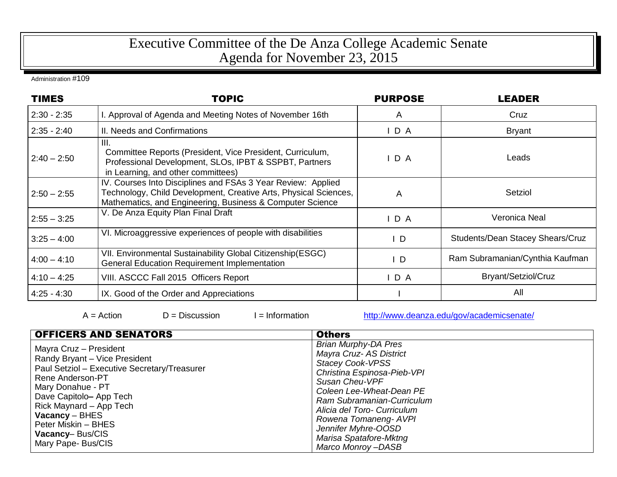## Executive Committee of the De Anza College Academic Senate Agenda for November 23, 2015

Administration #109

| <b>TIMES</b>  | <b>TOPIC</b>                                                                                                                                                                                  | <b>PURPOSE</b> | LEADER                           |
|---------------|-----------------------------------------------------------------------------------------------------------------------------------------------------------------------------------------------|----------------|----------------------------------|
| $2:30 - 2:35$ | I. Approval of Agenda and Meeting Notes of November 16th                                                                                                                                      | A              | Cruz                             |
| $2:35 - 2:40$ | II. Needs and Confirmations                                                                                                                                                                   | D A            | <b>Bryant</b>                    |
| $2:40 - 2:50$ | III.<br>Committee Reports (President, Vice President, Curriculum,<br>Professional Development, SLOs, IPBT & SSPBT, Partners<br>in Learning, and other committees)                             | D A            | Leads                            |
| $2:50 - 2:55$ | IV. Courses Into Disciplines and FSAs 3 Year Review: Applied<br>Technology, Child Development, Creative Arts, Physical Sciences,<br>Mathematics, and Engineering, Business & Computer Science | A              | Setziol                          |
| $2:55 - 3:25$ | V. De Anza Equity Plan Final Draft                                                                                                                                                            | IDA            | Veronica Neal                    |
| $3:25 - 4:00$ | VI. Microaggressive experiences of people with disabilities                                                                                                                                   | D              | Students/Dean Stacey Shears/Cruz |
| $4:00 - 4:10$ | VII. Environmental Sustainability Global Citizenship(ESGC)<br><b>General Education Requirement Implementation</b>                                                                             | $\overline{D}$ | Ram Subramanian/Cynthia Kaufman  |
| $4:10 - 4:25$ | VIII. ASCCC Fall 2015 Officers Report                                                                                                                                                         | D A            | <b>Bryant/Setziol/Cruz</b>       |
| $4:25 - 4:30$ | IX. Good of the Order and Appreciations                                                                                                                                                       |                | All                              |

 $A = Action$   $D = Discussion$   $I = Information$  <http://www.deanza.edu/gov/academicsenate/>

| <b>OFFICERS AND SENATORS</b>                                                                                                                                                                                                                                                                   | <b>Others</b>                                                                                                                                                                                                                                                                                                              |
|------------------------------------------------------------------------------------------------------------------------------------------------------------------------------------------------------------------------------------------------------------------------------------------------|----------------------------------------------------------------------------------------------------------------------------------------------------------------------------------------------------------------------------------------------------------------------------------------------------------------------------|
| Mayra Cruz - President<br>Randy Bryant - Vice President<br>Paul Setziol - Executive Secretary/Treasurer<br>Rene Anderson-PT<br>Mary Donahue - PT<br>Dave Capitolo- App Tech<br>Rick Maynard - App Tech<br>Vacancy - BHES<br>Peter Miskin - BHES<br><b>Vacancy-Bus/CIS</b><br>Mary Pape-Bus/CIS | <b>Brian Murphy-DA Pres</b><br>Mayra Cruz- AS District<br><b>Stacey Cook-VPSS</b><br>Christina Espinosa-Pieb-VPI<br>Susan Cheu-VPF<br>Coleen Lee-Wheat-Dean PE<br>Ram Subramanian-Curriculum<br>Alicia del Toro- Curriculum<br>Rowena Tomaneng- AVPI<br>Jennifer Myhre-OOSD<br>Marisa Spatafore-Mktng<br>Marco Monroy-DASB |